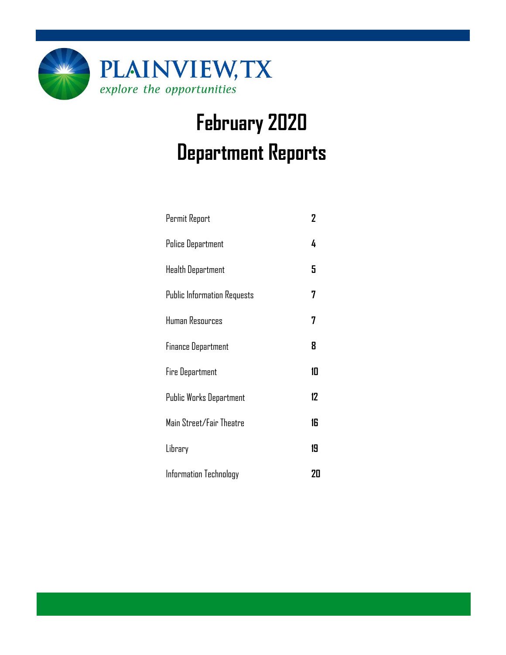

# **February 2020 Department Reports**

| Permit Report                      | $\overline{2}$ |
|------------------------------------|----------------|
| <b>Police Department</b>           | 4              |
| <b>Health Department</b>           | 5              |
| <b>Public Information Requests</b> | 7              |
| Human Resources                    | 7              |
| <b>Finance Department</b>          | 8              |
| <b>Fire Department</b>             | 10             |
| <b>Public Works Department</b>     | 12             |
| Main Street/Fair Theatre           | 16             |
| Library                            | 19             |
| Information Technology             | 20             |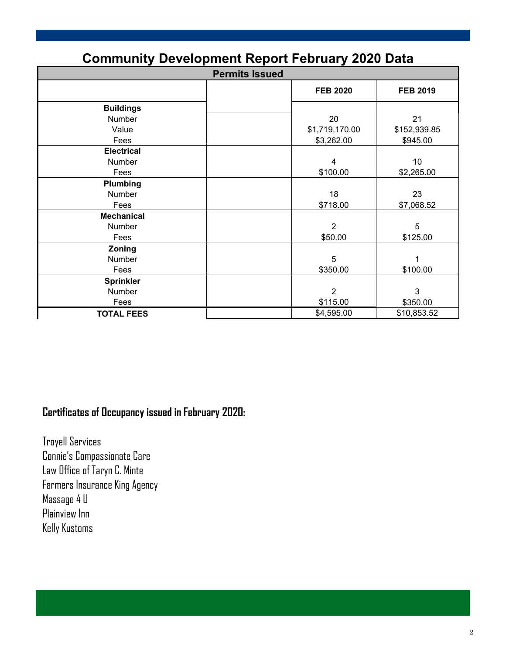| Community Development Report February 2020 Data |  |                 |                 |  |  |
|-------------------------------------------------|--|-----------------|-----------------|--|--|
| <b>Permits Issued</b>                           |  |                 |                 |  |  |
|                                                 |  | <b>FEB 2020</b> | <b>FEB 2019</b> |  |  |
| <b>Buildings</b>                                |  |                 |                 |  |  |
| Number                                          |  | 20              | 21              |  |  |
| Value                                           |  | \$1,719,170.00  | \$152,939.85    |  |  |
| Fees                                            |  | \$3,262.00      | \$945.00        |  |  |
| <b>Electrical</b>                               |  |                 |                 |  |  |
| Number                                          |  | 4               | 10              |  |  |
| Fees                                            |  | \$100.00        | \$2,265.00      |  |  |
| Plumbing                                        |  |                 |                 |  |  |
| Number                                          |  | 18              | 23              |  |  |
| Fees                                            |  | \$718.00        | \$7,068.52      |  |  |
| <b>Mechanical</b>                               |  |                 |                 |  |  |
| Number                                          |  | $\overline{2}$  | 5               |  |  |
| Fees                                            |  | \$50.00         | \$125.00        |  |  |
| Zoning                                          |  |                 |                 |  |  |
| Number                                          |  | 5               | 1               |  |  |
| Fees                                            |  | \$350.00        | \$100.00        |  |  |
| <b>Sprinkler</b>                                |  |                 |                 |  |  |
| Number                                          |  | $\overline{2}$  | 3               |  |  |
| Fees                                            |  | \$115.00        | \$350.00        |  |  |
| <b>TOTAL FEES</b>                               |  | \$4,595.00      | \$10,853.52     |  |  |

### **Community Development Report February 2020 Data**

### **Certificates of Occupancy issued in February 2020:**

Troyell Services Connie's Compassionate Care Law Office of Taryn C. Minte Farmers Insurance King Agency Massage 4 U Plainview Inn Kelly Kustoms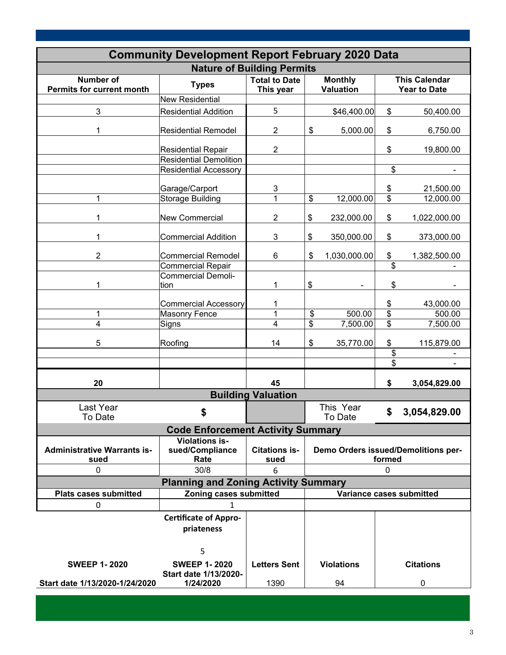| <b>Community Development Report February 2020 Data</b> |                                                            |                                   |    |                                    |                         |                                             |
|--------------------------------------------------------|------------------------------------------------------------|-----------------------------------|----|------------------------------------|-------------------------|---------------------------------------------|
|                                                        |                                                            | <b>Nature of Building Permits</b> |    |                                    |                         |                                             |
| <b>Number of</b><br><b>Permits for current month</b>   | <b>Types</b>                                               | <b>Total to Date</b><br>This year |    | <b>Monthly</b><br><b>Valuation</b> |                         | <b>This Calendar</b><br><b>Year to Date</b> |
|                                                        | <b>New Residential</b>                                     |                                   |    |                                    |                         |                                             |
| $\mathbf{3}$                                           | <b>Residential Addition</b>                                | 5                                 |    | \$46,400.00                        | \$                      | 50,400.00                                   |
| 1                                                      | <b>Residential Remodel</b>                                 | $\overline{2}$                    | \$ | 5,000.00                           | \$                      | 6,750.00                                    |
|                                                        | <b>Residential Repair</b><br><b>Residential Demolition</b> | $\overline{2}$                    |    |                                    | \$                      | 19,800.00                                   |
|                                                        | <b>Residential Accessory</b>                               |                                   |    |                                    | \$                      |                                             |
|                                                        |                                                            |                                   |    |                                    |                         |                                             |
|                                                        | Garage/Carport                                             | 3                                 |    |                                    | $\frac{1}{2}$           | 21,500.00                                   |
| 1                                                      | <b>Storage Building</b>                                    | 1                                 | \$ | 12,000.00                          | $\overline{\mathbf{s}}$ | 12,000.00                                   |
| 1                                                      | <b>New Commercial</b>                                      | 2                                 | \$ | 232,000.00                         | \$                      | 1,022,000.00                                |
| 1                                                      | <b>Commercial Addition</b>                                 | 3                                 | \$ | 350,000.00                         | \$                      | 373,000.00                                  |
| $\overline{2}$                                         | <b>Commercial Remodel</b>                                  | 6                                 | \$ | 1,030,000.00                       | \$                      | 1,382,500.00                                |
|                                                        | <b>Commercial Repair</b>                                   |                                   |    |                                    | \$                      |                                             |
| 1                                                      | <b>Commercial Demoli-</b><br>tion                          | 1                                 | \$ |                                    | \$                      |                                             |
|                                                        | <b>Commercial Accessory</b>                                | 1                                 |    |                                    | \$                      | 43,000.00                                   |
| 1                                                      | <b>Masonry Fence</b>                                       | 1                                 | \$ | 500.00                             | $\overline{\$}$         | 500.00                                      |
| 4                                                      | Signs                                                      | 4                                 | \$ | 7,500.00                           | \$                      | 7,500.00                                    |
| 5                                                      | Roofing                                                    | 14                                | \$ | 35,770.00                          | \$                      | 115,879.00                                  |
|                                                        |                                                            |                                   |    |                                    | \$                      |                                             |
|                                                        |                                                            |                                   |    |                                    | \$                      |                                             |
| 20                                                     |                                                            | 45                                |    |                                    | \$                      | 3,054,829.00                                |
|                                                        |                                                            | <b>Building Valuation</b>         |    |                                    |                         |                                             |
| Last Year<br>To Date                                   | \$                                                         |                                   |    | This Year<br>To Date               | \$                      | 3,054,829.00                                |
|                                                        | <b>Code Enforcement Activity Summary</b>                   |                                   |    |                                    |                         |                                             |
| <b>Administrative Warrants is-</b><br>sued             | <b>Violations is-</b><br>sued/Compliance<br>Rate           | <b>Citations is-</b><br>sued      |    |                                    | formed                  | Demo Orders issued/Demolitions per-         |
| 0                                                      | 30/8                                                       | 6                                 |    |                                    | $\mathbf{0}$            |                                             |
|                                                        | <b>Planning and Zoning Activity Summary</b>                |                                   |    |                                    |                         |                                             |
| <b>Plats cases submitted</b>                           | Zoning cases submitted                                     |                                   |    |                                    |                         | Variance cases submitted                    |
| 0                                                      | 1                                                          |                                   |    |                                    |                         |                                             |
|                                                        | <b>Certificate of Appro-</b><br>priateness<br>5            |                                   |    |                                    |                         |                                             |
| <b>SWEEP 1-2020</b>                                    | <b>SWEEP 1-2020</b>                                        | <b>Letters Sent</b>               |    | <b>Violations</b>                  |                         | <b>Citations</b>                            |
| Start date 1/13/2020-1/24/2020                         | Start date 1/13/2020-<br>1/24/2020                         | 1390                              |    | 94                                 |                         | $\pmb{0}$                                   |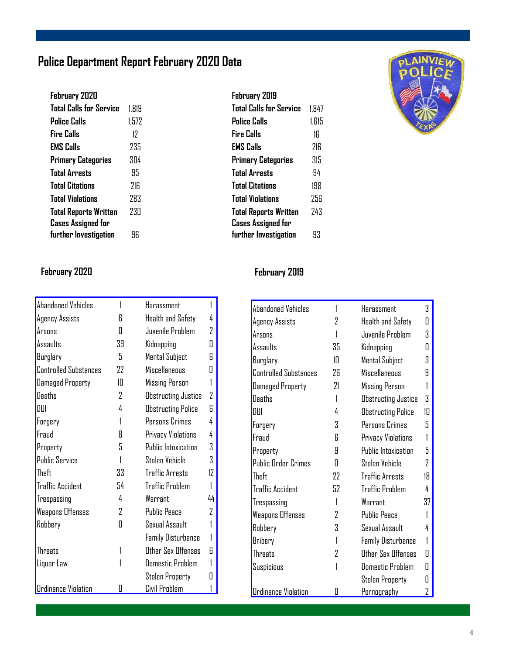### **Police Department Report February 2020 Data**

| 1.819 |
|-------|
| 1.572 |
| 17    |
| 235   |
| 3Π4   |
| 95    |
| 716   |
| 283   |
| 73N   |
|       |
| 96    |
|       |

#### **Total Calls for Service** 1,847 **Police Calls** 1,615 **Fire Calls** 16 **EMS Calls** 216 **Primary Categories** 315 **Total Arrests** 94 **Total Citations** 198 **Total Violations** 256 **Total Reports Written** 243 **Cases Assigned for further Investigation** 93

**February 2019** 



#### **February 2020 February 2019**

| <b>Abandoned Vehicles</b>    |                | Harassment                |    |
|------------------------------|----------------|---------------------------|----|
| Agency Assists               | 6              | Health and Safety         | 4  |
| Arsons                       | Π              | Juvenile Problem          | 2  |
| Assaults                     | 39             | Kidnapping                | O  |
| Burglary                     | 5              | Mental Subject            | 6  |
| <b>Controlled Substances</b> | 22             | Miscellaneous             | Π  |
| <b>Damaged Property</b>      | 10             | Missing Person            | 1  |
| <b>Deaths</b>                | 2              | Obstructing Justice       | 2  |
| DUI                          | 4              | Obstructing Police        | 6  |
| Forgery                      | 1              | Persons Crimes            | 4  |
| Fraud                        | 8              | Privacy Violations        | 4  |
| Property                     | 5              | Public Intoxication       | 3  |
| <b>Public Service</b>        |                | Stolen Vehicle            | 3  |
| Theft                        | 33             | <b>Traffic Arrests</b>    | 12 |
| <b>Traffic Accident</b>      | 54             | <b>Traffic Problem</b>    | 1  |
| Trespassing                  | 4              | Warrant                   | 44 |
| <b>Weapons Offenses</b>      | $\overline{2}$ | <b>Public Peace</b>       | 2  |
| Robbery                      | Π              | Sexual Assault            | 1  |
|                              |                | <b>Family Disturbance</b> | 1  |
| Threats                      |                | Other Sex Offenses        | 6  |
| Liquor Law                   |                | <b>Domestic Problem</b>   |    |
|                              |                | Stolen Property           | П  |
| <b>Ordinance Violation</b>   | П              | Civil Problem             |    |

| <b>Abandoned Vehicles</b> |    | Harassment                | 3  |
|---------------------------|----|---------------------------|----|
| Agency Assists            | 2  | <b>Health and Safety</b>  | Π  |
| Arsons                    |    | Juvenile Problem          | 3  |
| Assaults                  | 35 | Kidnapping                | Π  |
| Burglary                  | 10 | <b>Mental Subject</b>     | 3  |
| Controlled Substances     | 26 | <b>Miscellaneous</b>      | 9  |
| Damaged Property          | 21 | <b>Missing Person</b>     | 1  |
| Deaths                    | 1  | Obstructing Justice       | 3  |
| DUI                       | 4  | <b>Obstructing Police</b> | 10 |
| Forgery                   | 3  | Persons Crimes            | 5  |
| Fraud                     | 6  | Privacy Violations        | 1  |
| Property                  | 9  | Public Intoxication       | 5  |
| Public Order Crimes       | Π  | Stolen Vehicle            | 7  |
| Theft                     | 22 | <b>Traffic Arrests</b>    | 18 |
| <b>Traffic Accident</b>   | 52 | <b>Traffic Problem</b>    | 4  |
| Trespassing               | 1  | Warrant                   | 37 |
| Weapons Offenses          | 2  | <b>Public Peace</b>       | 1  |
| Robbery                   | 3  | Sexual Assault            | 4  |
| Bribery                   | 1  | <b>Family Disturbance</b> | 1  |
| Threats                   | 2  | Other Sex Offenses        | Π  |
| Suspicious                |    | <b>Domestic Problem</b>   | П  |
|                           |    | Stolen Property           | Π  |
| Ordinance Violation       | Π  | Pornography               | 2  |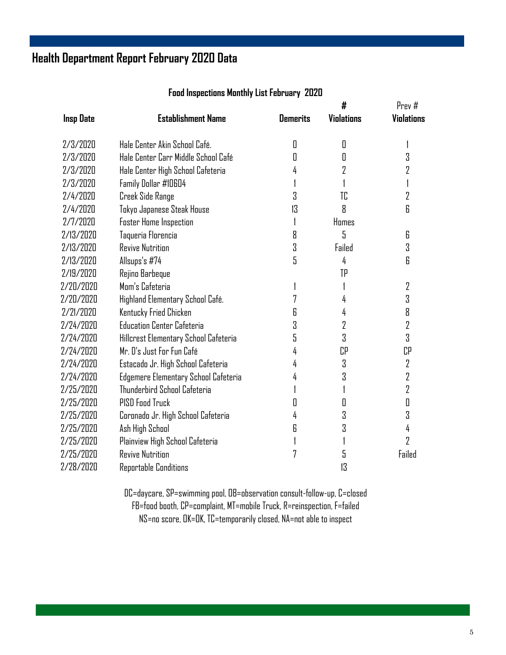### **Health Department Report February 2020 Data**

|                  |                                       |                 | #                 | Prev#             |
|------------------|---------------------------------------|-----------------|-------------------|-------------------|
| <b>Insp Date</b> | <b>Establishment Name</b>             | <b>Demerits</b> | <b>Violations</b> | <b>Violations</b> |
| 2/3/2020         | Hale Center Akin School Café.         | 0               | O                 |                   |
| 2/3/2020         | Hale Center Carr Middle School Café   | Π               | 0                 | 3                 |
| 2/3/2020         | Hale Center High School Cafeteria     | 4               | 2                 | 2                 |
| 2/3/2020         | Family Dollar #10604                  |                 |                   |                   |
| 2/4/2020         | Creek Side Range                      | 3               | TC                | 2                 |
| 2/4/2020         | Tokyo Japanese Steak House            | 13              | 8                 | 6                 |
| 2/7/2020         | <b>Foster Home Inspection</b>         | 1               | Homes             |                   |
| 2/13/2020        | Taqueria Florencia                    | 8               | 5                 | 6                 |
| 2/13/2020        | <b>Revive Nutrition</b>               | 3               | Failed            | 3                 |
| 2/13/2020        | Allsups's #74                         | 5               | 4                 | 6                 |
| 2/19/2020        | Rejino Barbeque                       |                 | TP                |                   |
| 2/20/2020        | Mom's Cafeteria                       |                 |                   | $\overline{2}$    |
| 2/20/2020        | Highland Elementary School Café.      | 7               | 4                 | 3                 |
| 2/21/2020        | Kentucky Fried Chicken                | 6               | 4                 | 8                 |
| 2/24/2020        | <b>Education Center Cafeteria</b>     | 3               | 2                 | 2                 |
| 2/24/2020        | Hillcrest Elementary School Cafeteria | 5               | 3                 | 3                 |
| 2/24/2020        | Mr. D's Just For Fun Café             | 4               | CP                | СP                |
| 2/24/2020        | Estacado Jr. High School Cafeteria    | 4               | 3                 | $\overline{2}$    |
| 2/24/2020        | Edgemere Elementary School Cafeteria  | 4               | 3                 | $\overline{2}$    |
| 2/25/2020        | Thunderbird School Cafeteria          |                 |                   | $\overline{2}$    |
| 2/25/2020        | PISD Food Truck                       | П               | 0                 | 0                 |
| 2/25/2020        | Coronado Jr. High School Cafeteria    | 4               | 3                 | 3                 |
| 2/25/2020        | Ash High School                       | 6               | 3                 | 4                 |
| 2/25/2020        | Plainview High School Cafeteria       |                 |                   | 2                 |
| 2/25/2020        | <b>Revive Nutrition</b>               | 7               | 5                 | Failed            |
| 2/28/2020        | Reportable Conditions                 |                 | 13                |                   |

#### **Food Inspections Monthly List February 2020**

DC=daycare, SP=swimming pool, OB=observation consult-follow-up, C=closed FB=food booth, CP=complaint, MT=mobile Truck, R=reinspection, F=failed NS=no score, OK=OK, TC=temporarily closed, NA=not able to inspect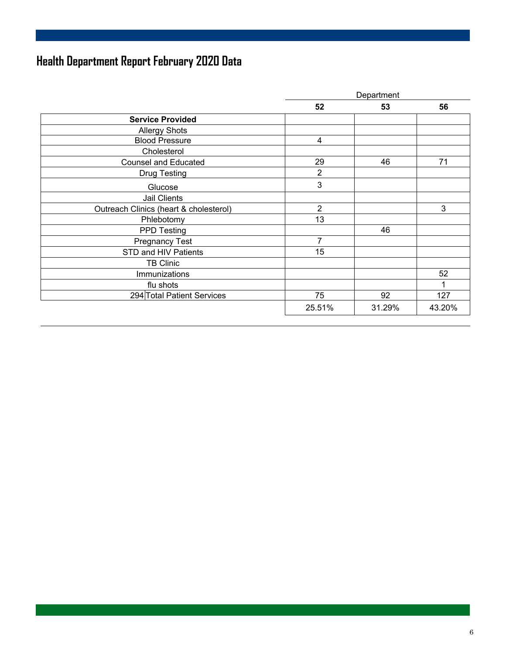## **Health Department Report February 2020 Data**

|                                        | Department     |        |        |
|----------------------------------------|----------------|--------|--------|
|                                        | 52             | 53     | 56     |
| <b>Service Provided</b>                |                |        |        |
| <b>Allergy Shots</b>                   |                |        |        |
| <b>Blood Pressure</b>                  | $\overline{4}$ |        |        |
| Cholesterol                            |                |        |        |
| <b>Counsel and Educated</b>            | 29             | 46     | 71     |
| <b>Drug Testing</b>                    | $\overline{2}$ |        |        |
| Glucose                                | 3              |        |        |
| Jail Clients                           |                |        |        |
| Outreach Clinics (heart & cholesterol) | $\overline{2}$ |        | 3      |
| Phlebotomy                             | 13             |        |        |
| <b>PPD Testing</b>                     |                | 46     |        |
| <b>Pregnancy Test</b>                  | 7              |        |        |
| STD and HIV Patients                   | 15             |        |        |
| <b>TB Clinic</b>                       |                |        |        |
| Immunizations                          |                |        | 52     |
| flu shots                              |                |        | 1      |
| 294 Total Patient Services             | 75             | 92     | 127    |
|                                        | 25.51%         | 31.29% | 43.20% |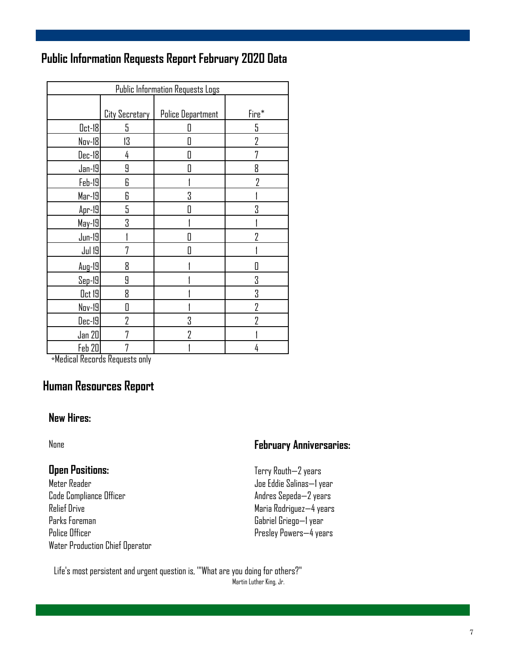### **Public Information Requests Report February 2020 Data**

| <b>Public Information Requests Logs</b> |                |                   |                |  |  |
|-----------------------------------------|----------------|-------------------|----------------|--|--|
|                                         | City Secretary | Police Department | Fire*          |  |  |
| $0$ ct-18                               | 5              | П                 | 5              |  |  |
| Nov-18                                  | 13             | Π                 | 7              |  |  |
| <b>Dec-18</b>                           | 4              | 0                 | 7              |  |  |
| $Jan-19$                                | 9              | 0                 | 8              |  |  |
| Feb-19                                  | 6              |                   | $\overline{2}$ |  |  |
| $Mar-19$                                | 6              | 3                 |                |  |  |
| $Apr-19$                                | 5              | Π                 | 3              |  |  |
| May-19                                  | 3              |                   |                |  |  |
| $Jun-19$                                |                | П                 | 7              |  |  |
| <b>Jul 19</b>                           | 7              | Π                 |                |  |  |
| Aug-19                                  | 8              |                   | II             |  |  |
| $Sep-19$                                | 9              |                   | 3              |  |  |
| $0$ ct 19 $ $                           | 8              |                   | 3              |  |  |
| Nov-19                                  | П              |                   | $\overline{2}$ |  |  |
| Dec-19                                  | 7              | 3                 | 7              |  |  |
| Jan 20                                  |                | 7                 |                |  |  |
| Feb 20                                  |                |                   | 4              |  |  |

\*Medical Records Requests only

### **Human Resources Report**

#### **New Hires:**

None

#### **Open Positions:**

Meter Reader Code Compliance Officer Relief Drive Parks Foreman Police Officer Water Production Chief Operator

#### **February Anniversaries:**

- Terry Routh—2 years Joe Eddie Salinas—1 year Andres Sepeda—2 years Maria Rodriguez—4 years Gabriel Griego—1 year Presley Powers—4 years
- Life's most persistent and urgent question is, "'What are you doing for others?"<br>Martin Luther King, Jr.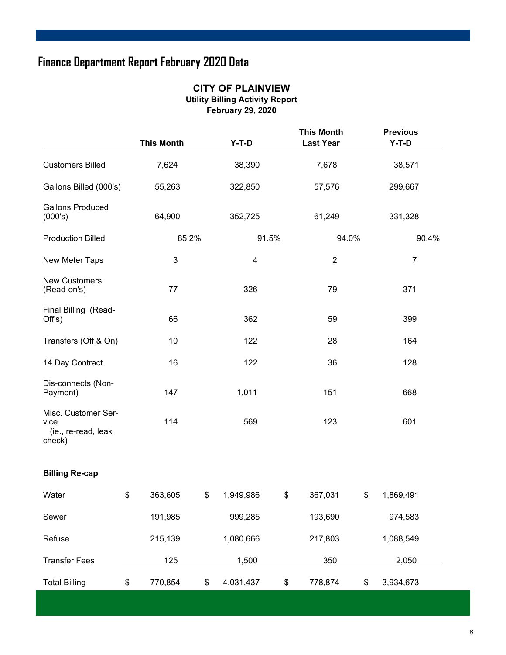### **Finance Department Report February 2020 Data**

### **CITY OF PLAINVIEW Utility Billing Activity Report**

|                                                              | <b>This Month</b> | Y-T-D           | <b>This Month</b><br><b>Last Year</b> | <b>Previous</b><br>Y-T-D |       |
|--------------------------------------------------------------|-------------------|-----------------|---------------------------------------|--------------------------|-------|
| <b>Customers Billed</b>                                      | 7,624             | 38,390          | 7,678                                 | 38,571                   |       |
| Gallons Billed (000's)                                       | 55,263            | 322,850         | 57,576                                | 299,667                  |       |
| <b>Gallons Produced</b><br>(000's)                           | 64,900            | 352,725         | 61,249                                | 331,328                  |       |
| <b>Production Billed</b>                                     | 85.2%             | 91.5%           | 94.0%                                 |                          | 90.4% |
| New Meter Taps                                               | 3                 | 4               | $\overline{2}$                        | $\overline{7}$           |       |
| <b>New Customers</b><br>(Read-on's)                          | 77                | 326             | 79                                    | 371                      |       |
| Final Billing (Read-<br>Off's)                               | 66                | 362             | 59                                    | 399                      |       |
| Transfers (Off & On)                                         | 10                | 122             | 28                                    | 164                      |       |
| 14 Day Contract                                              | 16                | 122             | 36                                    | 128                      |       |
| Dis-connects (Non-<br>Payment)                               | 147               | 1,011           | 151                                   | 668                      |       |
| Misc. Customer Ser-<br>vice<br>(ie., re-read, leak<br>check) | 114               | 569             | 123                                   | 601                      |       |
| <b>Billing Re-cap</b>                                        |                   |                 |                                       |                          |       |
| Water                                                        | \$<br>363,605     | \$<br>1,949,986 | \$<br>367,031                         | \$<br>1,869,491          |       |
| Sewer                                                        | 191,985           | 999,285         | 193,690                               | 974,583                  |       |
| Refuse                                                       | 215,139           | 1,080,666       | 217,803                               | 1,088,549                |       |
| <b>Transfer Fees</b>                                         | 125               | 1,500           | 350                                   | 2,050                    |       |
| <b>Total Billing</b>                                         | \$<br>770,854     | \$<br>4,031,437 | \$<br>778,874                         | \$<br>3,934,673          |       |

**February 29, 2020**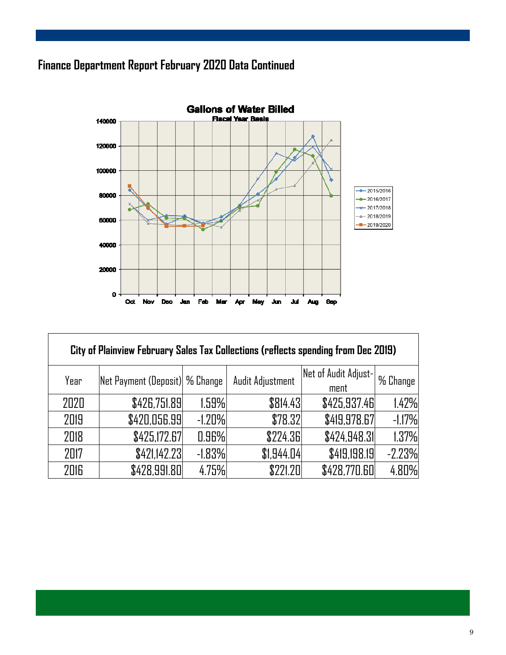### **Finance Department Report February 2020 Data Continued**



| City of Plainview February Sales Tax Collections (reflects spending from Dec 2019) |                                 |           |                  |                              |          |  |  |  |
|------------------------------------------------------------------------------------|---------------------------------|-----------|------------------|------------------------------|----------|--|--|--|
| Year                                                                               | Net Payment (Deposit)  % Change |           | Audit Adjustment | Net of Audit Adjust-<br>ment | % Change |  |  |  |
| 2020                                                                               | \$426,751.89                    | 1.59%     | \$814.43         | \$425,937.46                 | 1.42%    |  |  |  |
| 2019                                                                               | \$420,056.99                    | $-1.20\%$ | \$78.32          | \$419,978.67                 | $-1.17%$ |  |  |  |
| 2018                                                                               | \$425,172.67                    | 0.96%     | \$224.36         | \$424,948.31                 | 1.37%    |  |  |  |
| 2017                                                                               | \$421,142.23                    | $-1.83%$  | \$1,944.04       | \$419,198.19                 | $-2.23%$ |  |  |  |
| 2016                                                                               | \$428,991.80                    | 4.75%     | \$771.71         | \$428,770.60                 | 4.80%    |  |  |  |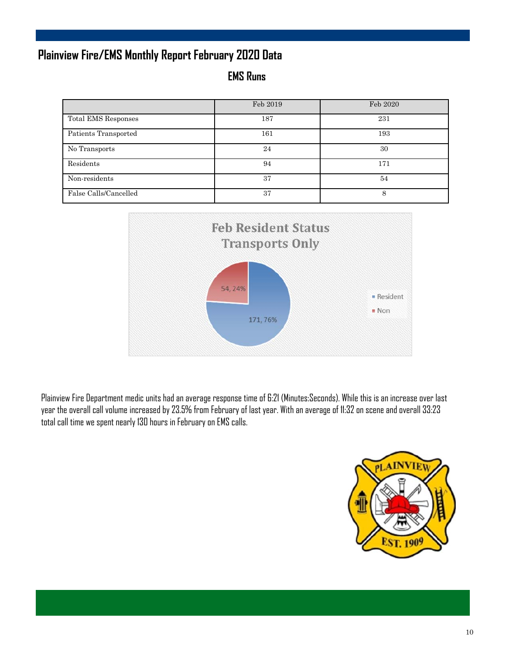### **Plainview Fire/EMS Monthly Report February 2020 Data**

**EMS Runs** 

|                       | Feb 2019 | Feb 2020 |
|-----------------------|----------|----------|
| Total EMS Responses   | 187      | 231      |
| Patients Transported  | 161      | 193      |
| No Transports         | 24       | 30       |
| Residents             | 94       | 171      |
| Non-residents         | 37       | 54       |
| False Calls/Cancelled | 37       | 8        |



Plainview Fire Department medic units had an average response time of 6:21 (Minutes:Seconds). While this is an increase over last year the overall call volume increased by 23.5% from February of last year. With an average of 11:32 on scene and overall 33:23 total call time we spent nearly 130 hours in February on EMS calls.

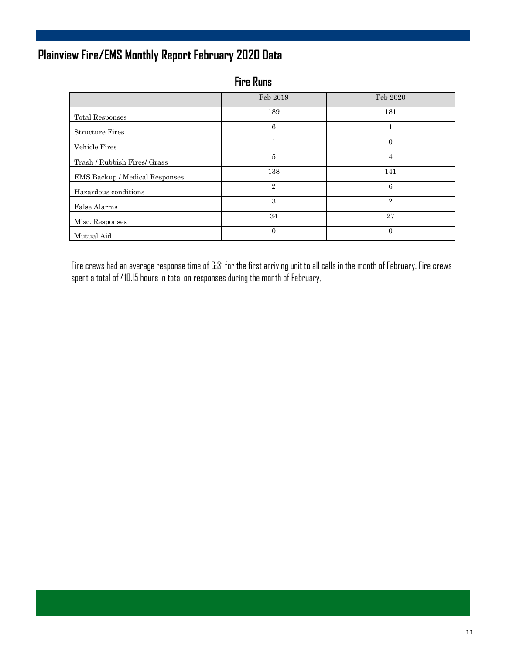### **Plainview Fire/EMS Monthly Report February 2020 Data**

**Fire Runs** 

|                                       | Feb 2019       | Feb 2020       |
|---------------------------------------|----------------|----------------|
| <b>Total Responses</b>                | 189            | 181            |
| <b>Structure Fires</b>                | 6              |                |
| Vehicle Fires                         |                | $\overline{0}$ |
| Trash / Rubbish Fires/ Grass          | 5              | 4              |
| <b>EMS Backup / Medical Responses</b> | 138            | 141            |
| Hazardous conditions                  | $\overline{2}$ | 6              |
| False Alarms                          | 3              | $\mathbf{2}$   |
| Misc. Responses                       | 34             | 27             |
| Mutual Aid                            | $\Omega$       | $\Omega$       |

Fire crews had an average response time of 6:31 for the first arriving unit to all calls in the month of February. Fire crews spent a total of 410.15 hours in total on responses during the month of February.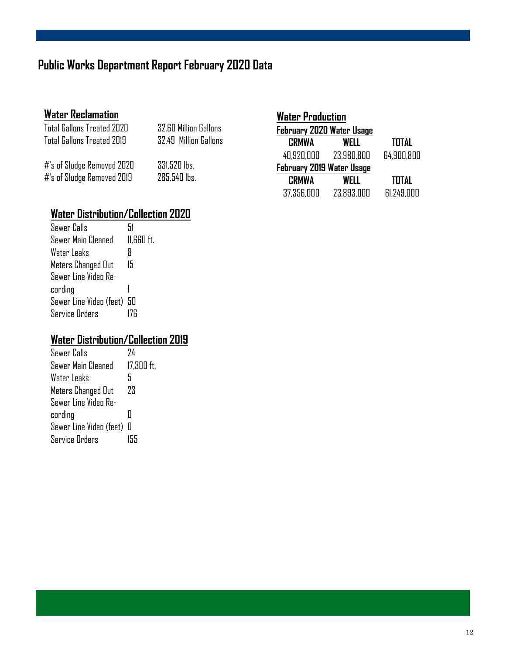### **Public Works Department Report February 2020 Data**

### **Water Reclamation**

|                  | Total Gallons Treated 2020<br>Total Gallons Treated 2019 | 32.60 Million Gallons<br>32.49 Million Gallons |  |
|------------------|----------------------------------------------------------|------------------------------------------------|--|
| 44 COLL <b>n</b> | , , , , , , ,                                            | nni ron II                                     |  |

#'s of Sludge Removed 2020 331,520 lbs. #'s of Sludge Removed 2019 285,540 lbs.

| Water Production          |            |              |  |
|---------------------------|------------|--------------|--|
| February 2020 Water Usage |            |              |  |
| <b>CRMWA</b>              | WELL       | <b>TOTAL</b> |  |
| 40.920.000                | 23.980.800 | 64.900.800   |  |
| February 2019 Water Usage |            |              |  |
| <b>CRMWA</b>              | WFI I      | <b>TOTAL</b> |  |
| 37,356,000                | 23.893.000 | 61.249,000   |  |

### **Water Distribution/Collection 2020**

| Sewer Calls                | 51         |
|----------------------------|------------|
| Sewer Main Cleaned         | 11,660 ft. |
| Water Leaks                | R          |
| Meters Changed Out         | 15         |
| Sewer Line Video Re-       |            |
| cording                    |            |
| Sewer Line Video (feet) 50 |            |
| Service Orders             |            |

### **Water Distribution/Collection 2019**

| Sewer Calls               | 74           |
|---------------------------|--------------|
| Sewer Main Cleaned        | $17,300$ ft. |
| Water Leaks               | 5            |
| Meters Changed Out        | 73           |
| Sewer Line Video Re-      |              |
| cording                   | П            |
| Sewer Line Video (feet) 0 |              |
| Service Orders            | 155          |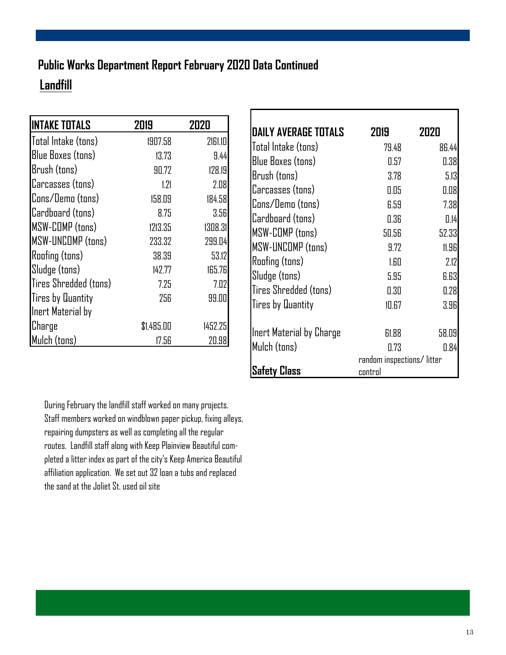### **Landfill Public Works Department Report February 2020 Data Continued**

| <b>INTAKE TOTALS</b>     | 2019       | 2020    |
|--------------------------|------------|---------|
| Total Intake (tons)      | 1907.58    | 2161.10 |
| Blue Boxes (tons)        | 13.73      | 9.44    |
| Brush (tons)             | 90.72      | 128.19  |
| Carcasses (tons)         | 1.21       | 2.08    |
| Cons/Demo (tons)         | 158.09     | 184.58  |
| Cardboard (tons)         | 8.75       | 3.56    |
| <b>MSW-COMP</b> (tons)   | 1213.35    | 1308.31 |
| MSW-UNCOMP (tons)        | 233.32     | 299.04  |
| Roofing (tons)           | 38.39      | 53.12   |
| Sludge (tons)            | 142.77     | 165.76  |
| Tires Shredded (tons)    | 7.25       | 7.02    |
| <b>Tires by Quantity</b> | 256        | 99.00   |
| Inert Material by        |            |         |
| Charge                   | \$1,485.00 | 1452.25 |
| Mulch (tons)             | 17.56      | 20.98   |

| IDAILY AVERAGE TOTALS    | 2019                                 | 2020  |
|--------------------------|--------------------------------------|-------|
| Total Intake (tons)      | 79.48                                | 86.44 |
| <b>Blue Boxes (tons)</b> | 0.57                                 | 0.38  |
| Brush (tons)             | 3.78                                 | 5.13  |
| Carcasses (tons)         | 0.05                                 | 0.08  |
| Cons/Demo (tons)         | 6.59                                 | 7.38  |
| Cardboard (tons)         | 0.36                                 | 0.14  |
| <b>MSW-COMP</b> (tons)   | 50.56                                | 52.33 |
| <b>MSW-UNCOMP (tons)</b> | 9.72                                 | 11.96 |
| <b>Roofing (tons)</b>    | 1.60                                 | 2.12  |
| Sludge (tons)            | 5.95                                 | 6.63  |
| Tires Shredded (tons)    | 0.30                                 | 0.28  |
| <b>Tires by Quantity</b> | 10.67                                | 3.96  |
| Inert Material by Charge | 61.88                                | 58.09 |
| Mulch (tons)             | 0.73                                 | 0.84  |
| Satety Class             | random inspections/litter<br>control |       |

During February the landfill staff worked on many projects. Staff members worked on windblown paper pickup, fixing alleys, repairing dumpsters as well as completing all the regular routes. Landfill staff along with Keep Plainview Beautiful completed a litter index as part of the city's Keep America Beautiful affiliation application. We set out 32 loan a tubs and replaced the sand at the Joliet St. used oil site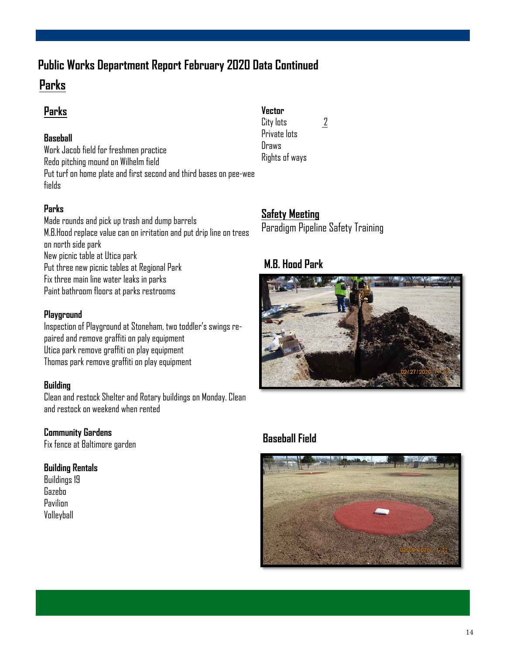### **Public Works Department Report February 2020 Data Continued**

### **Parks**

### **Parks**

#### **Baseball**

Work Jacob field for freshmen practice Redo pitching mound on Wilhelm field Put turf on home plate and first second and third bases on pee-wee fields

#### **Parks**

Made rounds and pick up trash and dump barrels M.B.Hood replace value can on irritation and put drip line on trees on north side park New picnic table at Utica park Put three new picnic tables at Regional Park Fix three main line water leaks in parks Paint bathroom floors at parks restrooms

#### **Playground**

Inspection of Playground at Stoneham, two toddler's swings repaired and remove graffiti on paly equipment Utica park remove graffiti on play equipment Thomas park remove graffiti on play equipment

#### **Building**

Clean and restock Shelter and Rotary buildings on Monday. Clean and restock on weekend when rented

#### **Community Gardens**

Fix fence at Baltimore garden

#### **Building Rentals**

Buildings 19 Gazebo **Pavilion** Volleyball

#### **Vector**

City lots  $\frac{2}{3}$ Private lots Draws Rights of ways

### **Safety Meeting**

Paradigm Pipeline Safety Training

#### **M.B. Hood Park**



### **Baseball Field**

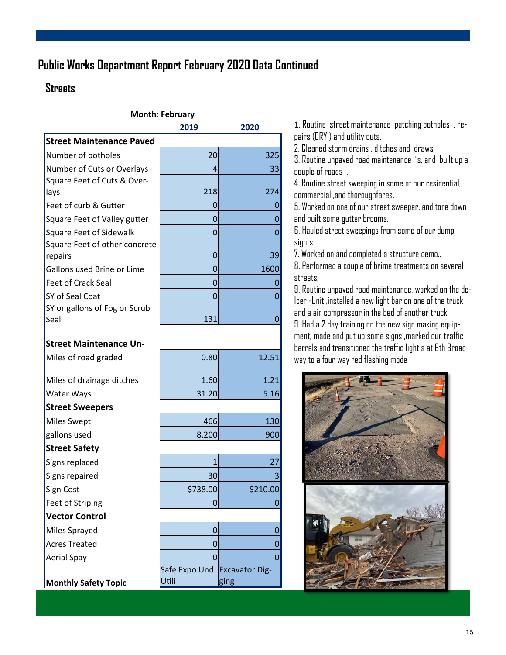### **Public Works Department Report February 2020 Data Continued**

#### **Streets**

| 2019 | 2020 |
|------|------|
|      |      |
|      |      |
| 20   | 325  |
| Δ    | 33   |
|      |      |
| 218  | 274  |
| 0    |      |
| O    | O    |
| O    |      |
|      |      |
| O    | 39   |
| O    | 1600 |
| O    |      |
| O    | O    |
|      |      |
| 131  |      |
|      |      |

#### **Street Maintenance Un-**

| Miles of road graded        | 0.80                         | 12.51    |
|-----------------------------|------------------------------|----------|
|                             |                              |          |
| Miles of drainage ditches   | 1.60                         | 1.21     |
| <b>Water Ways</b>           | 31.20                        | 5.16     |
| <b>Street Sweepers</b>      |                              |          |
| Miles Swept                 | 466                          | 130      |
| gallons used                | 8,200                        | 900      |
| <b>Street Safety</b>        |                              |          |
| Signs replaced              |                              | 27       |
| Signs repaired              | 30                           | 3        |
| Sign Cost                   | \$738.00                     | \$210.00 |
| Feet of Striping            | 0                            | 0        |
| <b>Vector Control</b>       |                              |          |
| Miles Sprayed               | 0                            | O        |
| <b>Acres Treated</b>        | 0<br>0                       |          |
| Aerial Spay                 | $\Omega$                     | 0        |
|                             | Safe Expo Und Excavator Dig- |          |
| <b>Monthly Safety Topic</b> | Utili                        | ging     |

1. Routine street maintenance patching potholes , repairs (CRY ) and utility cuts.

2. Cleaned storm drains , ditches and draws.

3. Routine unpaved road maintenance `s, and built up a couple of roads .

4. Routine street sweeping in some of our residential, commercial ,and thoroughfares.

5. Worked on one of our street sweeper, and tore down and built some gutter brooms.

6. Hauled street sweepings from some of our dump sights .

7. Worked on and completed a structure demo..

8. Performed a couple of brime treatments on several streets.

9. Routine unpaved road maintenance, worked on the de-Icer -Unit ,installed a new light bar on one of the truck and a air compressor in the bed of another truck.

9. Had a 2 day training on the new sign making equipment, made and put up some signs ,marked our traffic barrels and transitioned the traffic light s at 6th Broadway to a four way red flashing mode .

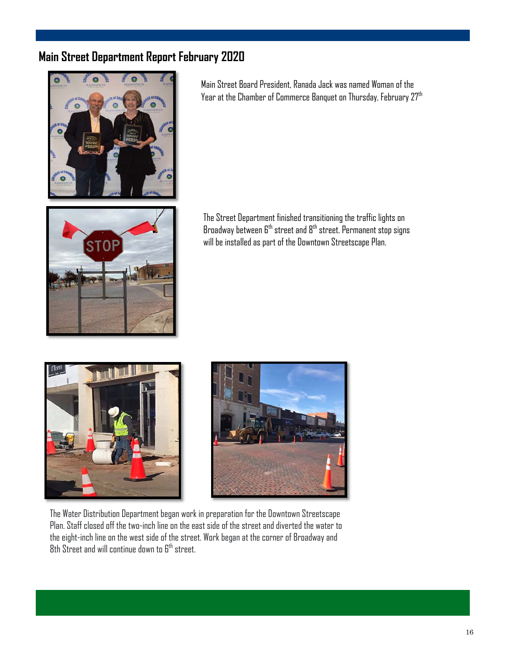### **Main Street Department Report February 2020**



Main Street Board President, Ranada Jack was named Woman of the Year at the Chamber of Commerce Banquet on Thursday, February 27th



The Street Department finished transitioning the traffic lights on Broadway between  $6<sup>th</sup>$  street and  $8<sup>th</sup>$  street. Permanent stop signs will be installed as part of the Downtown Streetscape Plan.





The Water Distribution Department began work in preparation for the Downtown Streetscape Plan. Staff closed off the two-inch line on the east side of the street and diverted the water to the eight-inch line on the west side of the street. Work began at the corner of Broadway and  $8$ th Street and will continue down to  $6<sup>th</sup>$  street.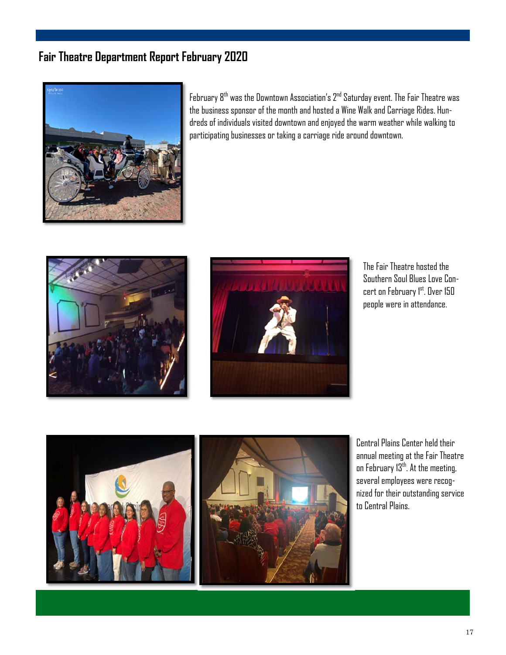### **Fair Theatre Department Report February 2020**



February  $8^{th}$  was the Downtown Association's  $2^{nd}$  Saturday event. The Fair Theatre was the business sponsor of the month and hosted a Wine Walk and Carriage Rides. Hundreds of individuals visited downtown and enjoyed the warm weather while walking to participating businesses or taking a carriage ride around downtown.





The Fair Theatre hosted the Southern Soul Blues Love Concert on February 1st. Over 150 people were in attendance.



Central Plains Center held their annual meeting at the Fair Theatre on February 13<sup>th</sup>. At the meeting, several employees were recognized for their outstanding service to Central Plains.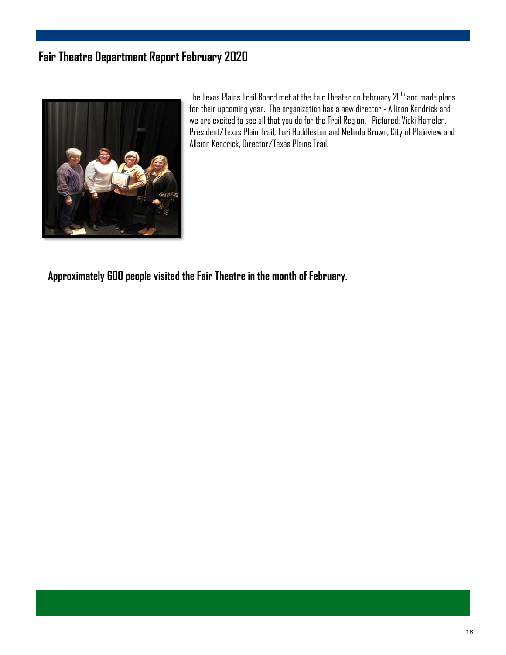### **Fair Theatre Department Report February 2020**



The Texas Plains Trail Board met at the Fair Theater on February 20<sup>th</sup> and made plans for their upcoming year. The organization has a new director - Allison Kendrick and we are excited to see all that you do for the Trail Region. Pictured: Vicki Hamelen, President/Texas Plain Trail, Tori Huddleston and Melinda Brown, City of Plainview and Allsion Kendrick, Director/Texas Plains Trail.

**Approximately 600 people visited the Fair Theatre in the month of February.**